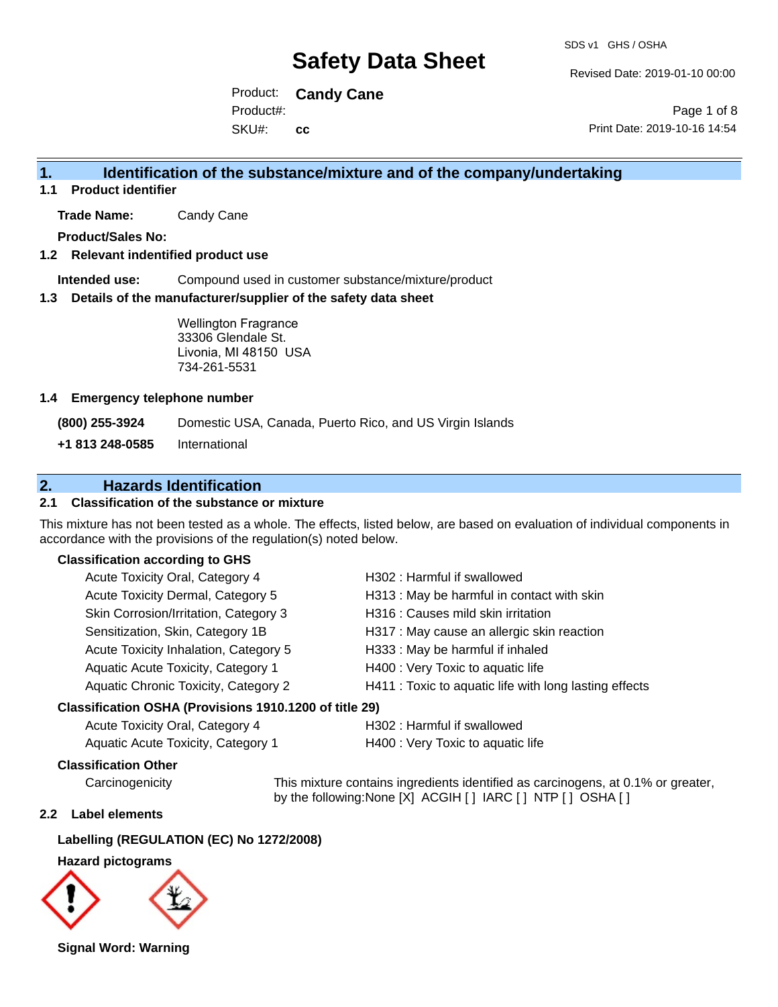Revised Date: 2019-01-10 00:00

Product: **Candy Cane** SKU#: Product#: **cc**

Page 1 of 8 Print Date: 2019-10-16 14:54

### **1. Identification of the substance/mixture and of the company/undertaking**

**1.1 Product identifier**

**Trade Name:** Candy Cane

**Product/Sales No:**

#### **1.2 Relevant indentified product use**

**Intended use:** Compound used in customer substance/mixture/product

#### **1.3 Details of the manufacturer/supplier of the safety data sheet**

Wellington Fragrance 33306 Glendale St. Livonia, MI 48150 USA 734-261-5531

#### **1.4 Emergency telephone number**

**(800) 255-3924** Domestic USA, Canada, Puerto Rico, and US Virgin Islands

**+1 813 248-0585** International

### **2. Hazards Identification**

#### **2.1 Classification of the substance or mixture**

This mixture has not been tested as a whole. The effects, listed below, are based on evaluation of individual components in accordance with the provisions of the regulation(s) noted below.

#### **Classification according to GHS**

| Acute Toxicity Oral, Category 4       | H302: Harmful if swallowed                             |
|---------------------------------------|--------------------------------------------------------|
| Acute Toxicity Dermal, Category 5     | H313: May be harmful in contact with skin              |
| Skin Corrosion/Irritation, Category 3 | H316 : Causes mild skin irritation                     |
| Sensitization, Skin, Category 1B      | H317 : May cause an allergic skin reaction             |
| Acute Toxicity Inhalation, Category 5 | H333: May be harmful if inhaled                        |
| Aquatic Acute Toxicity, Category 1    | H400 : Very Toxic to aquatic life                      |
| Aquatic Chronic Toxicity, Category 2  | H411 : Toxic to aquatic life with long lasting effects |
|                                       |                                                        |

#### **Classification OSHA (Provisions 1910.1200 of title 29)**

| Acute Toxicity Oral, Category 4    | H302 : Harmful if swallowed       |
|------------------------------------|-----------------------------------|
| Aquatic Acute Toxicity, Category 1 | H400 : Very Toxic to aquatic life |

#### **Classification Other**

Carcinogenicity This mixture contains ingredients identified as carcinogens, at 0.1% or greater, by the following:None [X] ACGIH [ ] IARC [ ] NTP [ ] OSHA [ ]

#### **2.2 Label elements**

#### **Labelling (REGULATION (EC) No 1272/2008)**

#### **Hazard pictograms**



**Signal Word: Warning**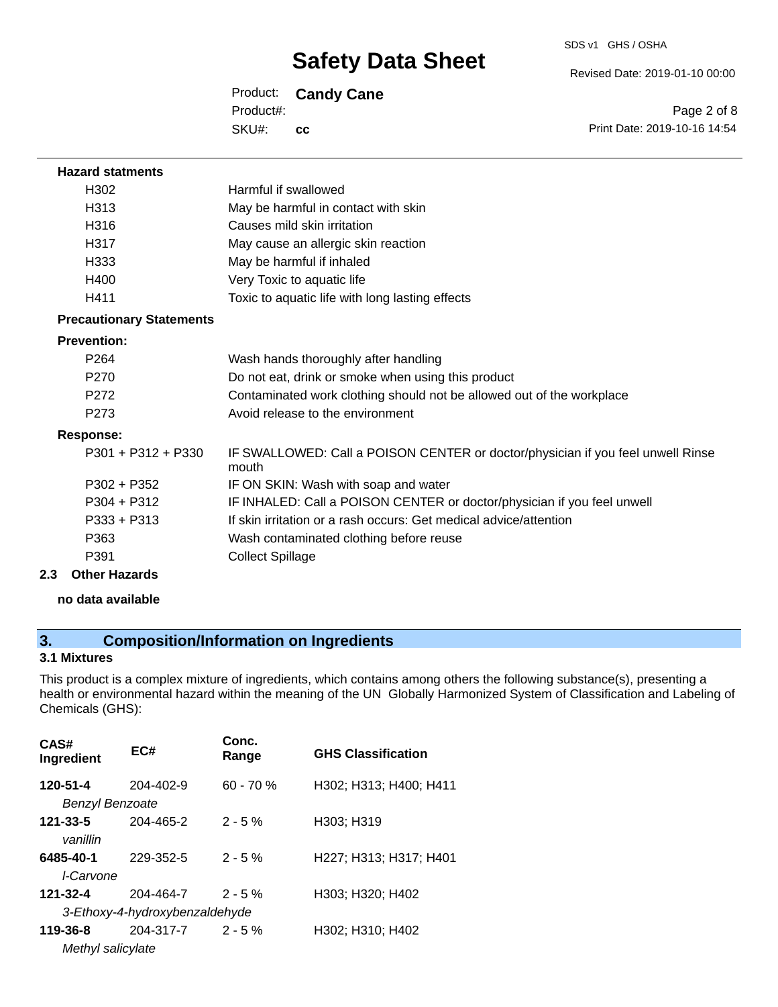Revised Date: 2019-01-10 00:00

### Product: **Candy Cane**

SKU#: Product#: **cc**

Page 2 of 8 Print Date: 2019-10-16 14:54

| <b>Hazard statments</b>         |                                                                                          |
|---------------------------------|------------------------------------------------------------------------------------------|
| H302                            | Harmful if swallowed                                                                     |
| H <sub>3</sub> 13               | May be harmful in contact with skin                                                      |
| H316                            | Causes mild skin irritation                                                              |
| H317                            | May cause an allergic skin reaction                                                      |
| H333                            | May be harmful if inhaled                                                                |
| H400                            | Very Toxic to aquatic life                                                               |
| H411                            | Toxic to aquatic life with long lasting effects                                          |
| <b>Precautionary Statements</b> |                                                                                          |
| <b>Prevention:</b>              |                                                                                          |
| P <sub>264</sub>                | Wash hands thoroughly after handling                                                     |
| P <sub>270</sub>                | Do not eat, drink or smoke when using this product                                       |
| P <sub>272</sub>                | Contaminated work clothing should not be allowed out of the workplace                    |
| P <sub>273</sub>                | Avoid release to the environment                                                         |
| <b>Response:</b>                |                                                                                          |
| $P301 + P312 + P330$            | IF SWALLOWED: Call a POISON CENTER or doctor/physician if you feel unwell Rinse<br>mouth |
| $P302 + P352$                   | IF ON SKIN: Wash with soap and water                                                     |
| $P304 + P312$                   | IF INHALED: Call a POISON CENTER or doctor/physician if you feel unwell                  |
| $P333 + P313$                   | If skin irritation or a rash occurs: Get medical advice/attention                        |
| P363                            | Wash contaminated clothing before reuse                                                  |
| P391                            | <b>Collect Spillage</b>                                                                  |
| 2.3<br><b>Other Hazards</b>     |                                                                                          |

# **no data available**

### **3. Composition/Information on Ingredients**

#### **3.1 Mixtures**

This product is a complex mixture of ingredients, which contains among others the following substance(s), presenting a health or environmental hazard within the meaning of the UN Globally Harmonized System of Classification and Labeling of Chemicals (GHS):

| CAS#<br>Ingredient            | EC#                            | Conc.<br>Range | <b>GHS Classification</b> |
|-------------------------------|--------------------------------|----------------|---------------------------|
| 120-51-4<br>Benzyl Benzoate   | 204-402-9                      | $60 - 70%$     | H302; H313; H400; H411    |
| $121 - 33 - 5$<br>vanillin    | 204-465-2                      | $2 - 5%$       | H303; H319                |
| 6485-40-1<br><i>I-Carvone</i> | 229-352-5                      | $2 - 5%$       | H227; H313; H317; H401    |
| 121-32-4                      | 204-464-7                      | $2 - 5%$       | H303; H320; H402          |
|                               | 3-Ethoxy-4-hydroxybenzaldehyde |                |                           |
| 119-36-8                      | 204-317-7                      | $2 - 5%$       | H302: H310: H402          |
| Methyl salicylate             |                                |                |                           |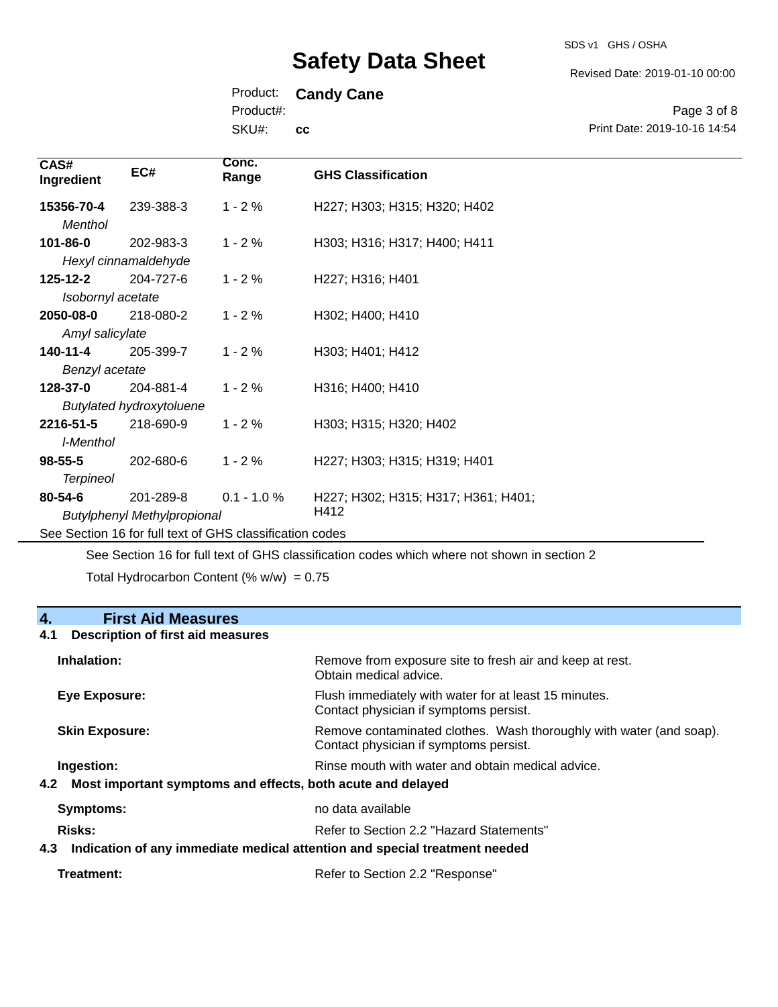SDS v1 GHS / OSHA

Revised Date: 2019-01-10 00:00

Print Date: 2019-10-16 14:54

Page 3 of 8

Product: **Candy Cane**

Product#:

SKU#: **cc**

| CAS#<br>Ingredient                                       | EC#                                             | Conc.<br>Range | <b>GHS Classification</b>                   |
|----------------------------------------------------------|-------------------------------------------------|----------------|---------------------------------------------|
| 15356-70-4<br>Menthol                                    | 239-388-3                                       | $1 - 2%$       | H227; H303; H315; H320; H402                |
| 101-86-0                                                 | 202-983-3<br>Hexyl cinnamaldehyde               | $1 - 2%$       | H303; H316; H317; H400; H411                |
| $125 - 12 - 2$<br>Isobornyl acetate                      | 204-727-6                                       | $1 - 2%$       | H227; H316; H401                            |
| 2050-08-0<br>Amyl salicylate                             | 218-080-2                                       | $1 - 2%$       | H302; H400; H410                            |
| 140-11-4<br>Benzyl acetate                               | 205-399-7                                       | $1 - 2%$       | H303; H401; H412                            |
| 128-37-0                                                 | 204-881-4<br><b>Butylated hydroxytoluene</b>    | $1 - 2%$       | H316; H400; H410                            |
| 2216-51-5<br>I-Menthol                                   | 218-690-9                                       | $1 - 2%$       | H303; H315; H320; H402                      |
| $98 - 55 - 5$<br><b>Terpineol</b>                        | 202-680-6                                       | $1 - 2%$       | H227; H303; H315; H319; H401                |
| $80 - 54 - 6$                                            | 201-289-8<br><b>Butylphenyl Methylpropional</b> | $0.1 - 1.0 %$  | H227; H302; H315; H317; H361; H401;<br>H412 |
| See Section 16 for full text of GHS classification codes |                                                 |                |                                             |

See Section 16 for full text of GHS classification codes which where not shown in section 2

Total Hydrocarbon Content (%  $w/w$ ) = 0.75

### **4. First Aid Measures**

#### **4.1 Description of first aid measures**

| Inhalation:                                                                       | Remove from exposure site to fresh air and keep at rest.<br>Obtain medical advice.                            |
|-----------------------------------------------------------------------------------|---------------------------------------------------------------------------------------------------------------|
| Eye Exposure:                                                                     | Flush immediately with water for at least 15 minutes.<br>Contact physician if symptoms persist.               |
| <b>Skin Exposure:</b>                                                             | Remove contaminated clothes. Wash thoroughly with water (and soap).<br>Contact physician if symptoms persist. |
| Ingestion:                                                                        | Rinse mouth with water and obtain medical advice.                                                             |
| 4.2 Most important symptoms and effects, both acute and delayed                   |                                                                                                               |
| Symptoms:                                                                         | no data available                                                                                             |
| Risks:<br>Refer to Section 2.2 "Hazard Statements"                                |                                                                                                               |
| Indication of any immediate medical attention and special treatment needed<br>4.3 |                                                                                                               |
|                                                                                   |                                                                                                               |

| Refer to Section 2.2 "Response" |
|---------------------------------|
|                                 |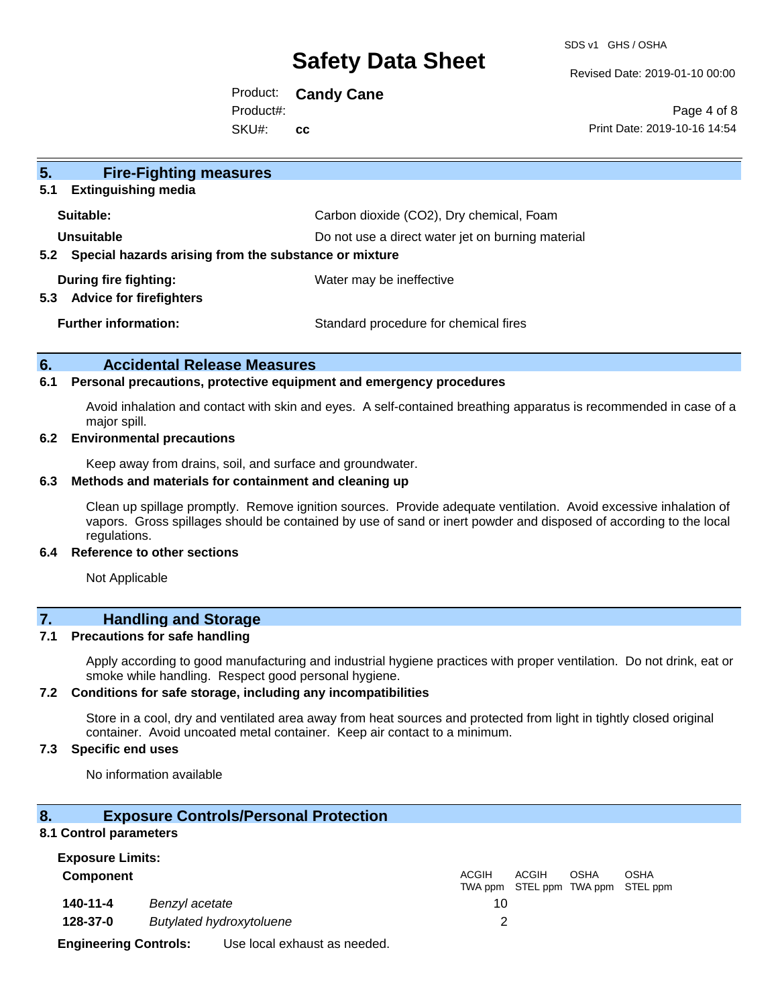SDS v1 GHS / OSHA

Revised Date: 2019-01-10 00:00

Product: **Candy Cane** SKU#: Product#: **cc**

Page 4 of 8 Print Date: 2019-10-16 14:54

| 5 <sub>1</sub><br><b>Fire-Fighting measures</b>           |                                                   |
|-----------------------------------------------------------|---------------------------------------------------|
| <b>Extinguishing media</b><br>5.1                         |                                                   |
| Suitable:                                                 | Carbon dioxide (CO2), Dry chemical, Foam          |
| Unsuitable                                                | Do not use a direct water jet on burning material |
| 5.2 Special hazards arising from the substance or mixture |                                                   |
| During fire fighting:                                     | Water may be ineffective                          |
| <b>Advice for firefighters</b><br>5.3                     |                                                   |
| <b>Further information:</b>                               | Standard procedure for chemical fires             |
|                                                           |                                                   |

#### **6. Accidental Release Measures**

#### **6.1 Personal precautions, protective equipment and emergency procedures**

Avoid inhalation and contact with skin and eyes. A self-contained breathing apparatus is recommended in case of a major spill.

#### **6.2 Environmental precautions**

Keep away from drains, soil, and surface and groundwater.

#### **6.3 Methods and materials for containment and cleaning up**

Clean up spillage promptly. Remove ignition sources. Provide adequate ventilation. Avoid excessive inhalation of vapors. Gross spillages should be contained by use of sand or inert powder and disposed of according to the local regulations.

#### **6.4 Reference to other sections**

Not Applicable

### **7. Handling and Storage**

#### **7.1 Precautions for safe handling**

Apply according to good manufacturing and industrial hygiene practices with proper ventilation. Do not drink, eat or smoke while handling. Respect good personal hygiene.

#### **7.2 Conditions for safe storage, including any incompatibilities**

Store in a cool, dry and ventilated area away from heat sources and protected from light in tightly closed original container. Avoid uncoated metal container. Keep air contact to a minimum.

#### **7.3 Specific end uses**

No information available

#### **8. Exposure Controls/Personal Protection**

#### **8.1 Control parameters**

| <b>Exposure Limits:</b>      |                |                                 |       |       |             |                                                  |  |
|------------------------------|----------------|---------------------------------|-------|-------|-------------|--------------------------------------------------|--|
| <b>Component</b>             |                |                                 | ACGIH | ACGIH | <b>OSHA</b> | <b>OSHA</b><br>TWA ppm STEL ppm TWA ppm STEL ppm |  |
| 140-11-4                     | Benzyl acetate |                                 | 10    |       |             |                                                  |  |
| 128-37-0                     |                | <b>Butylated hydroxytoluene</b> |       |       |             |                                                  |  |
| <b>Engineering Controls:</b> |                | Use local exhaust as needed.    |       |       |             |                                                  |  |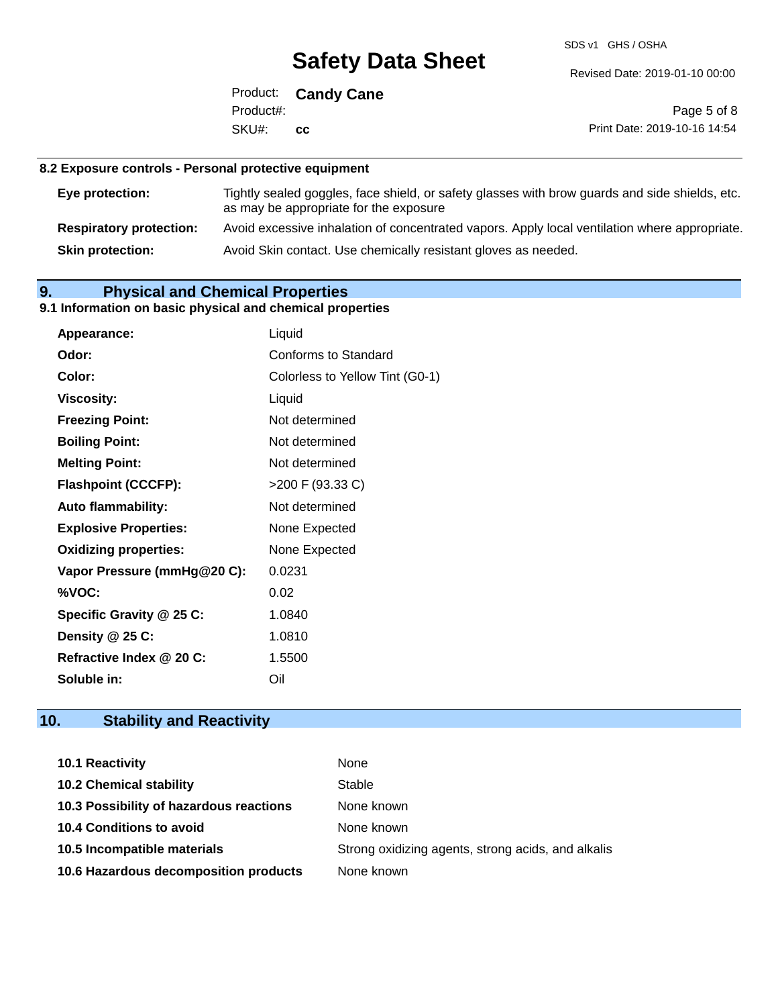SDS v1 GHS / OSHA

Revised Date: 2019-01-10 00:00

Product: **Candy Cane** SKU#: Product#: **cc**

Page 5 of 8 Print Date: 2019-10-16 14:54

#### **8.2 Exposure controls - Personal protective equipment**

| Eye protection:                | Tightly sealed goggles, face shield, or safety glasses with brow guards and side shields, etc.<br>as may be appropriate for the exposure |
|--------------------------------|------------------------------------------------------------------------------------------------------------------------------------------|
| <b>Respiratory protection:</b> | Avoid excessive inhalation of concentrated vapors. Apply local ventilation where appropriate.                                            |
| <b>Skin protection:</b>        | Avoid Skin contact. Use chemically resistant gloves as needed.                                                                           |

## **9. Physical and Chemical Properties**

### **9.1 Information on basic physical and chemical properties**

| Appearance:                  | Liquid                          |
|------------------------------|---------------------------------|
| Odor:                        | Conforms to Standard            |
| Color:                       | Colorless to Yellow Tint (G0-1) |
| <b>Viscosity:</b>            | Liquid                          |
| <b>Freezing Point:</b>       | Not determined                  |
| <b>Boiling Point:</b>        | Not determined                  |
| <b>Melting Point:</b>        | Not determined                  |
| <b>Flashpoint (CCCFP):</b>   | >200 F (93.33 C)                |
| <b>Auto flammability:</b>    | Not determined                  |
| <b>Explosive Properties:</b> | None Expected                   |
| <b>Oxidizing properties:</b> | None Expected                   |
| Vapor Pressure (mmHg@20 C):  | 0.0231                          |
| %VOC:                        | 0.02                            |
| Specific Gravity @ 25 C:     | 1.0840                          |
| Density @ 25 C:              | 1.0810                          |
| Refractive Index @ 20 C:     | 1.5500                          |
| Soluble in:                  | Oil                             |

# **10. Stability and Reactivity**

| <b>10.1 Reactivity</b>                  | None                                               |
|-----------------------------------------|----------------------------------------------------|
| <b>10.2 Chemical stability</b>          | Stable                                             |
| 10.3 Possibility of hazardous reactions | None known                                         |
| <b>10.4 Conditions to avoid</b>         | None known                                         |
| 10.5 Incompatible materials             | Strong oxidizing agents, strong acids, and alkalis |
| 10.6 Hazardous decomposition products   | None known                                         |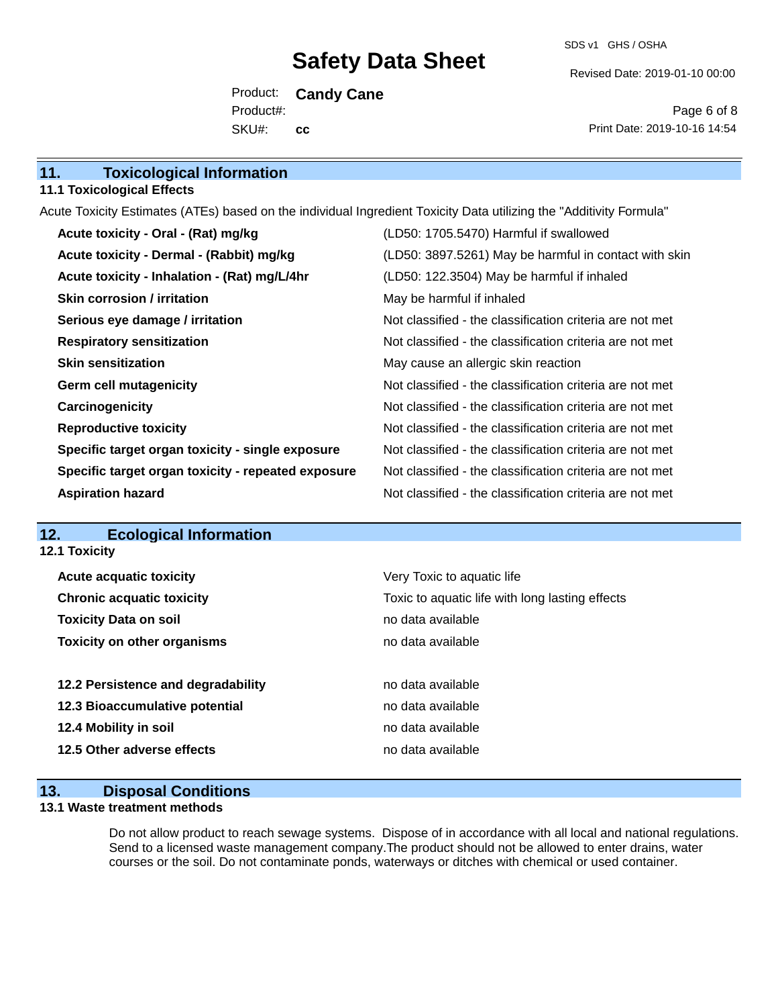SDS v1 GHS / OSHA

Revised Date: 2019-01-10 00:00

Product: **Candy Cane** SKU#: Product#: **cc**

Page 6 of 8 Print Date: 2019-10-16 14:54

| 11. | <b>Toxicological Information</b> |
|-----|----------------------------------|
|     |                                  |

#### **11.1 Toxicological Effects**

Acute Toxicity Estimates (ATEs) based on the individual Ingredient Toxicity Data utilizing the "Additivity Formula"

| Acute toxicity - Oral - (Rat) mg/kg                | (LD50: 1705.5470) Harmful if swallowed                   |
|----------------------------------------------------|----------------------------------------------------------|
| Acute toxicity - Dermal - (Rabbit) mg/kg           | (LD50: 3897.5261) May be harmful in contact with skin    |
| Acute toxicity - Inhalation - (Rat) mg/L/4hr       | (LD50: 122.3504) May be harmful if inhaled               |
| <b>Skin corrosion / irritation</b>                 | May be harmful if inhaled                                |
| Serious eye damage / irritation                    | Not classified - the classification criteria are not met |
| <b>Respiratory sensitization</b>                   | Not classified - the classification criteria are not met |
| <b>Skin sensitization</b>                          | May cause an allergic skin reaction                      |
| <b>Germ cell mutagenicity</b>                      | Not classified - the classification criteria are not met |
| Carcinogenicity                                    | Not classified - the classification criteria are not met |
| <b>Reproductive toxicity</b>                       | Not classified - the classification criteria are not met |
| Specific target organ toxicity - single exposure   | Not classified - the classification criteria are not met |
| Specific target organ toxicity - repeated exposure | Not classified - the classification criteria are not met |
| <b>Aspiration hazard</b>                           | Not classified - the classification criteria are not met |

### **12. Ecological Information**

**12.1 Toxicity**

| <b>Acute acquatic toxicity</b>     | Very Toxic to aquatic life                      |  |  |  |
|------------------------------------|-------------------------------------------------|--|--|--|
| <b>Chronic acquatic toxicity</b>   | Toxic to aquatic life with long lasting effects |  |  |  |
| <b>Toxicity Data on soil</b>       | no data available                               |  |  |  |
| <b>Toxicity on other organisms</b> | no data available                               |  |  |  |
|                                    |                                                 |  |  |  |
| 12.2 Persistence and degradability | no data available                               |  |  |  |
| 12.3 Bioaccumulative potential     | no data available                               |  |  |  |
| 12.4 Mobility in soil              | no data available                               |  |  |  |
| 12.5 Other adverse effects         | no data available                               |  |  |  |
|                                    |                                                 |  |  |  |

### **13. Disposal Conditions**

#### **13.1 Waste treatment methods**

Do not allow product to reach sewage systems. Dispose of in accordance with all local and national regulations. Send to a licensed waste management company.The product should not be allowed to enter drains, water courses or the soil. Do not contaminate ponds, waterways or ditches with chemical or used container.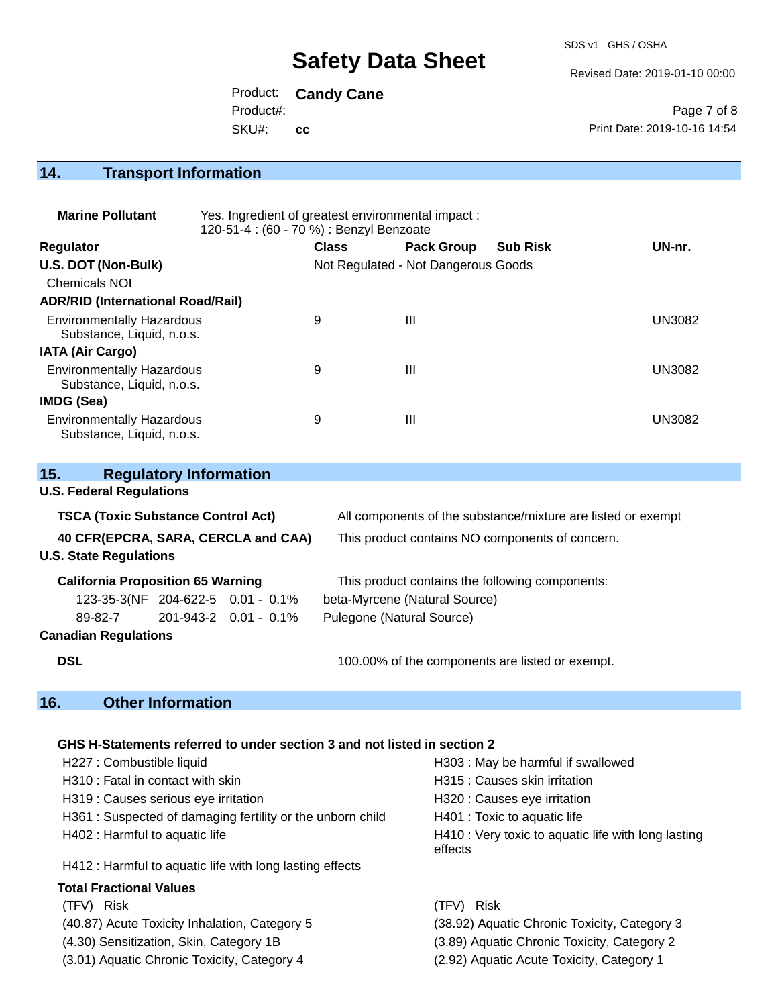SDS v1 GHS / OSHA

Revised Date: 2019-01-10 00:00

Product: **Candy Cane** SKU#: Product#: **cc**

Page 7 of 8 Print Date: 2019-10-16 14:54

#### **14. Transport Information**

| <b>Marine Pollutant</b>                                       | Yes. Ingredient of greatest environmental impact:<br>120-51-4 : (60 - 70 %) : Benzyl Benzoate |              |                                     |                 |               |
|---------------------------------------------------------------|-----------------------------------------------------------------------------------------------|--------------|-------------------------------------|-----------------|---------------|
| <b>Regulator</b>                                              |                                                                                               | <b>Class</b> | <b>Pack Group</b>                   | <b>Sub Risk</b> | UN-nr.        |
| U.S. DOT (Non-Bulk)                                           |                                                                                               |              | Not Regulated - Not Dangerous Goods |                 |               |
| Chemicals NOI                                                 |                                                                                               |              |                                     |                 |               |
| <b>ADR/RID (International Road/Rail)</b>                      |                                                                                               |              |                                     |                 |               |
| <b>Environmentally Hazardous</b><br>Substance, Liquid, n.o.s. |                                                                                               | 9            | Ш                                   |                 | <b>UN3082</b> |
| <b>IATA (Air Cargo)</b>                                       |                                                                                               |              |                                     |                 |               |
| <b>Environmentally Hazardous</b><br>Substance, Liquid, n.o.s. |                                                                                               | 9            | Ш                                   |                 | UN3082        |
| IMDG (Sea)                                                    |                                                                                               |              |                                     |                 |               |
| <b>Environmentally Hazardous</b><br>Substance, Liquid, n.o.s. |                                                                                               | 9            | Ш                                   |                 | UN3082        |

| 15.<br><b>Regulatory Information</b>                                     |                                                                                                                 |  |  |  |  |  |  |
|--------------------------------------------------------------------------|-----------------------------------------------------------------------------------------------------------------|--|--|--|--|--|--|
| <b>U.S. Federal Regulations</b>                                          |                                                                                                                 |  |  |  |  |  |  |
| <b>TSCA (Toxic Substance Control Act)</b>                                | All components of the substance/mixture are listed or exempt<br>This product contains NO components of concern. |  |  |  |  |  |  |
| 40 CFR(EPCRA, SARA, CERCLA and CAA)                                      |                                                                                                                 |  |  |  |  |  |  |
| <b>U.S. State Regulations</b>                                            |                                                                                                                 |  |  |  |  |  |  |
| <b>California Proposition 65 Warning</b>                                 | This product contains the following components:                                                                 |  |  |  |  |  |  |
| 123-35-3(NF 204-622-5 0.01 - 0.1%<br>beta-Myrcene (Natural Source)       |                                                                                                                 |  |  |  |  |  |  |
| 201-943-2 0.01 - 0.1%<br>Pulegone (Natural Source)<br>89-82-7            |                                                                                                                 |  |  |  |  |  |  |
| <b>Canadian Regulations</b>                                              |                                                                                                                 |  |  |  |  |  |  |
| <b>DSL</b>                                                               | 100.00% of the components are listed or exempt.                                                                 |  |  |  |  |  |  |
| 16.<br><b>Other Information</b>                                          |                                                                                                                 |  |  |  |  |  |  |
|                                                                          |                                                                                                                 |  |  |  |  |  |  |
| GHS H-Statements referred to under section 3 and not listed in section 2 |                                                                                                                 |  |  |  |  |  |  |
| H227 : Combustible liquid                                                | H303 : May be harmful if swallowed                                                                              |  |  |  |  |  |  |
| H310 : Fatal in contact with skin                                        | H315 : Causes skin irritation                                                                                   |  |  |  |  |  |  |

- H319 : Causes serious eye irritation H320 : Causes eye irritation
- H361 : Suspected of damaging fertility or the unborn child H401 : Toxic to aquatic life
- 

H412 : Harmful to aquatic life with long lasting effects

#### **Total Fractional Values**

(TFV) Risk (TFV) Risk

(3.01) Aquatic Chronic Toxicity, Category 4 (2.92) Aquatic Acute Toxicity, Category 1

H402 : Harmful to aquatic life **H410** : Very toxic to aquatic life with long lasting effects

(40.87) Acute Toxicity Inhalation, Category 5 (38.92) Aquatic Chronic Toxicity, Category 3 (4.30) Sensitization, Skin, Category 1B (3.89) Aquatic Chronic Toxicity, Category 2